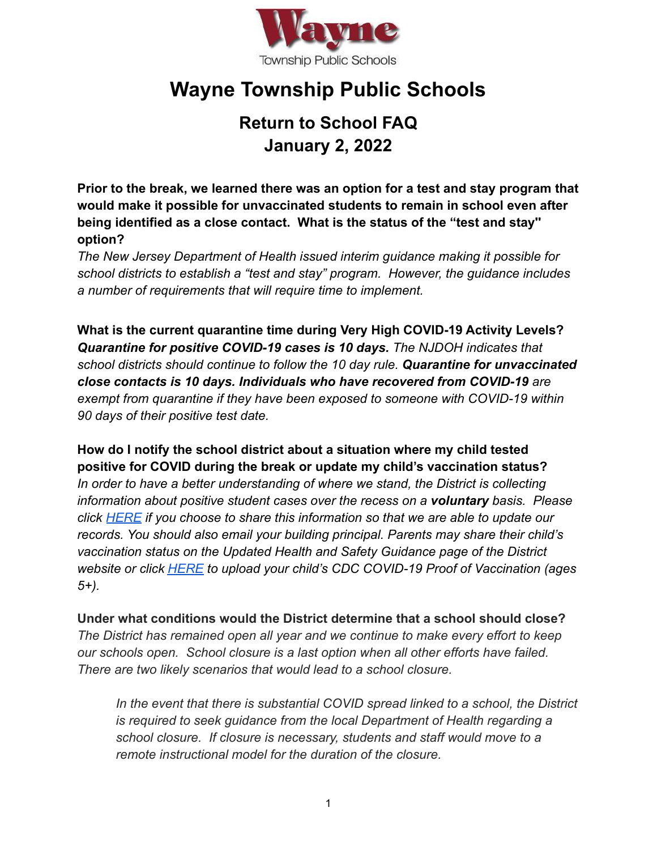

## **Wayne Township Public Schools**

## **Return to School FAQ January 2, 2022**

**Prior to the break, we learned there was an option for a test and stay program that would make it possible for unvaccinated students to remain in school even after being identified as a close contact. What is the status of the "test and stay'' option?**

*The New Jersey Department of Health issued interim guidance making it possible for school districts to establish a "test and stay" program. However, the guidance includes a number of requirements that will require time to implement.*

**What is the current quarantine time during Very High COVID-19 Activity Levels?** *Quarantine for positive COVID-19 cases is 10 days. The NJDOH indicates that school districts should continue to follow the 10 day rule. Quarantine for unvaccinated close contacts is 10 days. Individuals who have recovered from COVID-19 are exempt from quarantine if they have been exposed to someone with COVID-19 within 90 days of their positive test date.*

**How do I notify the school district about a situation where my child tested positive for COVID during the break or update my child's vaccination status?** *In order to have a better understanding of where we stand, the District is collecting information about positive student cases over the recess on a voluntary basis. Please click [HERE](https://docs.google.com/forms/d/e/1FAIpQLSccvj7C6UchgaXruuJpCTEbwi7rXesC5yx4iX75ymRKS9-gQg/viewform) if you choose to share this information so that we are able to update our records. You should also email your building principal. Parents may share their child's vaccination status on the Updated Health and Safety Guidance page of the District website or click [HERE](https://docs.google.com/forms/d/e/1FAIpQLSfaNPcsr3Ll13vio8gzS5DdYkhChcjtLj0xNvgvecrdmSJUjw/viewform) to upload your child's CDC COVID-19 Proof of Vaccination (ages 5+).*

**Under what conditions would the District determine that a school should close?** *The District has remained open all year and we continue to make every effort to keep our schools open. School closure is a last option when all other efforts have failed. There are two likely scenarios that would lead to a school closure.*

*In the event that there is substantial COVID spread linked to a school, the District is required to seek guidance from the local Department of Health regarding a school closure. If closure is necessary, students and staff would move to a remote instructional model for the duration of the closure.*